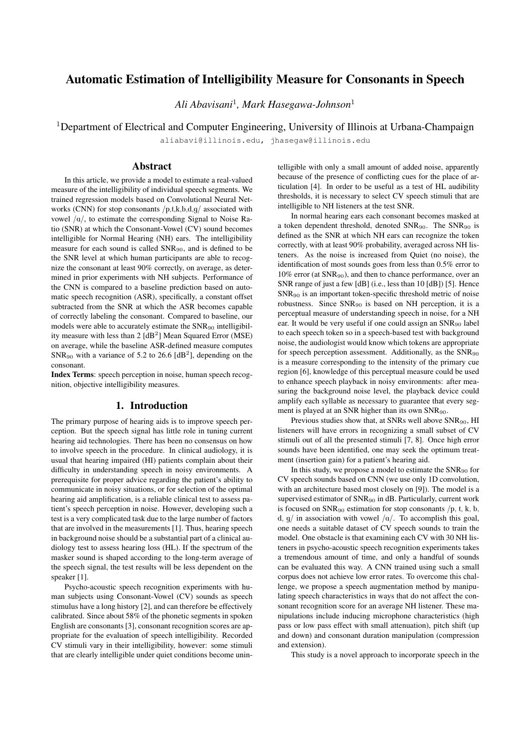# Automatic Estimation of Intelligibility Measure for Consonants in Speech

*Ali Abavisani*<sup>1</sup> *, Mark Hasegawa-Johnson*<sup>1</sup>

<sup>1</sup>Department of Electrical and Computer Engineering, University of Illinois at Urbana-Champaign

aliabavi@illinois.edu, jhasegaw@illinois.edu

#### Abstract

In this article, we provide a model to estimate a real-valued measure of the intelligibility of individual speech segments. We trained regression models based on Convolutional Neural Networks (CNN) for stop consonants  $/p, t, k, b, d, q/$  associated with vowel  $\alpha/$ , to estimate the corresponding Signal to Noise Ratio (SNR) at which the Consonant-Vowel (CV) sound becomes intelligible for Normal Hearing (NH) ears. The intelligibility measure for each sound is called  $SNR_{90}$ , and is defined to be the SNR level at which human participants are able to recognize the consonant at least 90% correctly, on average, as determined in prior experiments with NH subjects. Performance of the CNN is compared to a baseline prediction based on automatic speech recognition (ASR), specifically, a constant offset subtracted from the SNR at which the ASR becomes capable of correctly labeling the consonant. Compared to baseline, our models were able to accurately estimate the  $SNR_{90}$  intelligibility measure with less than  $2 \text{ [dB}^2\text{]}$  Mean Squared Error (MSE) on average, while the baseline ASR-defined measure computes  $SNR_{90}$  with a variance of 5.2 to 26.6 [dB<sup>2</sup>], depending on the consonant.

Index Terms: speech perception in noise, human speech recognition, objective intelligibility measures.

## 1. Introduction

The primary purpose of hearing aids is to improve speech perception. But the speech signal has little role in tuning current hearing aid technologies. There has been no consensus on how to involve speech in the procedure. In clinical audiology, it is usual that hearing impaired (HI) patients complain about their difficulty in understanding speech in noisy environments. A prerequisite for proper advice regarding the patient's ability to communicate in noisy situations, or for selection of the optimal hearing aid amplification, is a reliable clinical test to assess patient's speech perception in noise. However, developing such a test is a very complicated task due to the large number of factors that are involved in the measurements [1]. Thus, hearing speech in background noise should be a substantial part of a clinical audiology test to assess hearing loss (HL). If the spectrum of the masker sound is shaped according to the long-term average of the speech signal, the test results will be less dependent on the speaker [1].

Psycho-acoustic speech recognition experiments with human subjects using Consonant-Vowel (CV) sounds as speech stimulus have a long history [2], and can therefore be effectively calibrated. Since about 58% of the phonetic segments in spoken English are consonants [3], consonant recognition scores are appropriate for the evaluation of speech intelligibility. Recorded CV stimuli vary in their intelligibility, however: some stimuli that are clearly intelligible under quiet conditions become unintelligible with only a small amount of added noise, apparently because of the presence of conflicting cues for the place of articulation [4]. In order to be useful as a test of HL audibility thresholds, it is necessary to select CV speech stimuli that are intelligible to NH listeners at the test SNR.

In normal hearing ears each consonant becomes masked at a token dependent threshold, denoted SNR90. The SNR<sup>90</sup> is defined as the SNR at which NH ears can recognize the token correctly, with at least 90% probability, averaged across NH listeners. As the noise is increased from Quiet (no noise), the identification of most sounds goes from less than 0.5% error to 10% error (at SNR90), and then to chance performance, over an SNR range of just a few [dB] (i.e., less than 10 [dB]) [5]. Hence  $SNR_{90}$  is an important token-specific threshold metric of noise robustness. Since SNR<sup>90</sup> is based on NH perception, it is a perceptual measure of understanding speech in noise, for a NH ear. It would be very useful if one could assign an  $SNR_{90}$  label to each speech token so in a speech-based test with background noise, the audiologist would know which tokens are appropriate for speech perception assessment. Additionally, as the SNR<sup>90</sup> is a measure corresponding to the intensity of the primary cue region [6], knowledge of this perceptual measure could be used to enhance speech playback in noisy environments: after measuring the background noise level, the playback device could amplify each syllable as necessary to guarantee that every segment is played at an SNR higher than its own SNR<sub>90</sub>.

Previous studies show that, at SNRs well above SNR<sub>90</sub>, HI listeners will have errors in recognizing a small subset of CV stimuli out of all the presented stimuli [7, 8]. Once high error sounds have been identified, one may seek the optimum treatment (insertion gain) for a patient's hearing aid.

In this study, we propose a model to estimate the SNR<sup>90</sup> for CV speech sounds based on CNN (we use only 1D convolution, with an architecture based most closely on [9]). The model is a supervised estimator of SNR<sub>90</sub> in dB. Particularly, current work is focused on  $SNR_{90}$  estimation for stop consonants /p, t, k, b, d,  $g/$  in association with vowel  $/a/$ . To accomplish this goal, one needs a suitable dataset of CV speech sounds to train the model. One obstacle is that examining each CV with 30 NH listeners in psycho-acoustic speech recognition experiments takes a tremendous amount of time, and only a handful of sounds can be evaluated this way. A CNN trained using such a small corpus does not achieve low error rates. To overcome this challenge, we propose a speech augmentation method by manipulating speech characteristics in ways that do not affect the consonant recognition score for an average NH listener. These manipulations include inducing microphone characteristics (high pass or low pass effect with small attenuation), pitch shift (up and down) and consonant duration manipulation (compression and extension).

This study is a novel approach to incorporate speech in the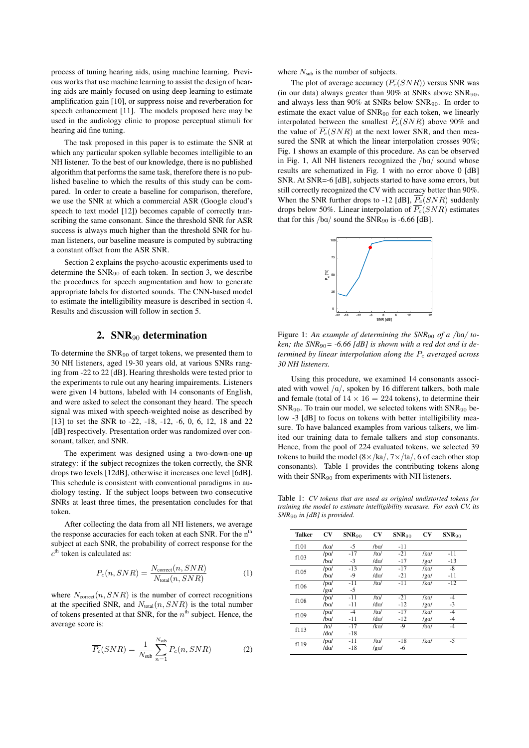process of tuning hearing aids, using machine learning. Previous works that use machine learning to assist the design of hearing aids are mainly focused on using deep learning to estimate amplification gain [10], or suppress noise and reverberation for speech enhancement [11]. The models proposed here may be used in the audiology clinic to propose perceptual stimuli for hearing aid fine tuning.

The task proposed in this paper is to estimate the SNR at which any particular spoken syllable becomes intelligible to an NH listener. To the best of our knowledge, there is no published algorithm that performs the same task, therefore there is no published baseline to which the results of this study can be compared. In order to create a baseline for comparison, therefore, we use the SNR at which a commercial ASR (Google cloud's speech to text model [12]) becomes capable of correctly transcribing the same consonant. Since the threshold SNR for ASR success is always much higher than the threshold SNR for human listeners, our baseline measure is computed by subtracting a constant offset from the ASR SNR.

Section 2 explains the psycho-acoustic experiments used to determine the  $SNR_{90}$  of each token. In section 3, we describe the procedures for speech augmentation and how to generate appropriate labels for distorted sounds. The CNN-based model to estimate the intelligibility measure is described in section 4. Results and discussion will follow in section 5.

### 2.  $SNR_{90}$  determination

To determine the SNR<sup>90</sup> of target tokens, we presented them to 30 NH listeners, aged 19-30 years old, at various SNRs ranging from -22 to 22 [dB]. Hearing thresholds were tested prior to the experiments to rule out any hearing impairements. Listeners were given 14 buttons, labeled with 14 consonants of English, and were asked to select the consonant they heard. The speech signal was mixed with speech-weighted noise as described by [13] to set the SNR to -22, -18, -12, -6, 0, 6, 12, 18 and 22 [dB] respectively. Presentation order was randomized over consonant, talker, and SNR.

The experiment was designed using a two-down-one-up strategy: if the subject recognizes the token correctly, the SNR drops two levels [12dB], otherwise it increases one level [6dB]. This schedule is consistent with conventional paradigms in audiology testing. If the subject loops between two consecutive SNRs at least three times, the presentation concludes for that token.

After collecting the data from all NH listeners, we average the response accuracies for each token at each SNR. For the n<sup>th</sup> subject at each SNR, the probability of correct response for the  $c<sup>th</sup>$  token is calculated as:

$$
P_c(n, SNR) = \frac{N_{\text{correct}}(n, SNR)}{N_{\text{total}}(n, SNR)}\tag{1}
$$

where  $N_{\text{correct}}(n, SNR)$  is the number of correct recognitions at the specified SNR, and  $N_{total}(n, SNR)$  is the total number of tokens presented at that SNR, for the  $n^{\text{th}}$  subject. Hence, the average score is:

$$
\overline{P_c}(SNR) = \frac{1}{N_{\text{sub}}} \sum_{n=1}^{N_{\text{sub}}} P_c(n, SNR)
$$
 (2)

where  $N_{sub}$  is the number of subjects.

The plot of average accuracy  $(\overline{P_c}(SNR))$  versus SNR was (in our data) always greater than 90% at SNRs above  $SNR_{90}$ , and always less than 90% at SNRs below SNR90. In order to estimate the exact value of SNR<sub>90</sub> for each token, we linearly interpolated between the smallest  $\overline{P_c}(SNR)$  above 90% and the value of  $\overline{P_c}(SNR)$  at the next lower SNR, and then measured the SNR at which the linear interpolation crosses 90%; Fig. 1 shows an example of this procedure. As can be observed in Fig. 1, All NH listeners recognized the  $/ba/$  sound whose results are schematized in Fig. 1 with no error above 0 [dB] SNR. At SNR=-6 [dB], subjects started to have some errors, but still correctly recognized the CV with accuracy better than 90%. When the SNR further drops to -12 [dB],  $\overline{P_c}(SNR)$  suddenly drops below 50%. Linear interpolation of  $\overline{P_c}(SNR)$  estimates that for this  $/ba/$  sound the SNR<sub>90</sub> is -6.66 [dB].



Figure 1: An example of determining the  $SNR_{90}$  of a /ba/ token; the  $SNR_{90}$  = -6.66 [dB] is shown with a red dot and is de*termined by linear interpolation along the*  $P_c$  *averaged across 30 NH listeners.*

Using this procedure, we examined 14 consonants associated with vowel  $/a/$ , spoken by 16 different talkers, both male and female (total of  $14 \times 16 = 224$  tokens), to determine their  $SNR_{90}$ . To train our model, we selected tokens with  $SNR_{90}$  below -3 [dB] to focus on tokens with better intelligibility measure. To have balanced examples from various talkers, we limited our training data to female talkers and stop consonants. Hence, from the pool of 224 evaluated tokens, we selected 39 tokens to build the model  $(8 \times /ka/$ ,  $7 \times /ta/$ , 6 of each other stop consonants). Table 1 provides the contributing tokens along with their  $SNR_{90}$  from experiments with NH listeners.

Table 1: *CV tokens that are used as original undistorted tokens for training the model to estimate intelligibility measure. For each CV, its SNR*<sup>90</sup> *in [dB] is provided.*

| <b>Talker</b> | CV              | $SNR_{90}$ | <b>CV</b>   | $SNR_{90}$ | <b>CV</b>       | $SNR_{90}$ |
|---------------|-----------------|------------|-------------|------------|-----------------|------------|
| f101          | /ka/            | $-5$       | /ba/        | $-11$      |                 |            |
| f103          | /pa/            | $-17$      | /ta/        | $-21$      | /ka/            | $-11$      |
|               | /ba/            | $-3$       | /da/        | $-17$      | $\sqrt{2}a$     | $-13$      |
| f105          | / <sub>pa</sub> | $-13$      | /ta/        | $-17$      | /ka/            | $-8$       |
|               | /ba/            | $-9$       | /da/        | $-21$      | $\sqrt{2}a$     | $-11$      |
| f106          | / <sub>pa</sub> | $-11$      | /ta/        | $-11$      | /ka/            | $-12$      |
|               | $\sqrt{2}a$     | $-5$       |             |            |                 |            |
| f108          | $/$ p $q$       | $-11$      | /ta/        | $-21$      | /ka/            | $-4$       |
|               | /ba/            | $-11$      | /da/        | $-12$      | $\sqrt{2}a$     | $-3$       |
| f109          | / <sub>pa</sub> | $-4$       | /ta/        | $-17$      | /k <sub>Q</sub> | $-4$       |
|               | /ba             | $-11$      | /da/        | $-12$      | $\sqrt{2}a$     | $-4$       |
| f113          | /ta/            | $-17$      | /ka/        | $-9$       | /bq             | $-4$       |
|               | /da/            | $-18$      |             |            |                 |            |
| f119          | $/$ p $q$       | $-11$      | /ta/        | $-18$      | /ka/            | $-5$       |
|               | /da/            | $-18$      | $\sqrt{2}a$ | -6         |                 |            |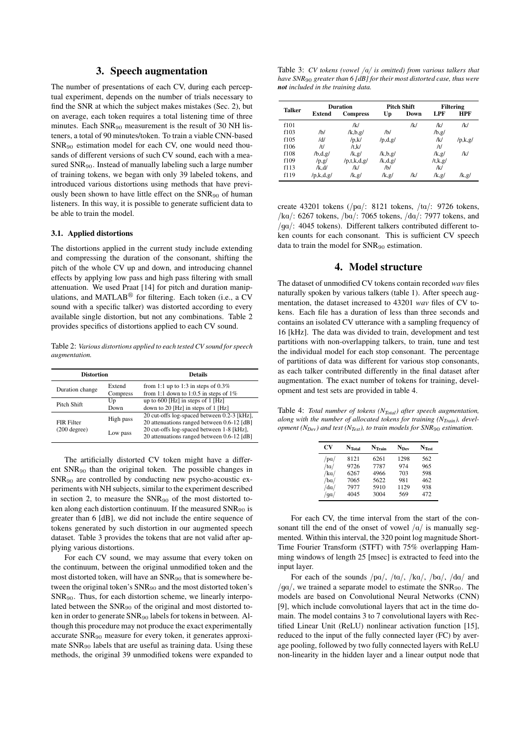### 3. Speech augmentation

The number of presentations of each CV, during each perceptual experiment, depends on the number of trials necessary to find the SNR at which the subject makes mistakes (Sec. 2), but on average, each token requires a total listening time of three minutes. Each SNR<sub>90</sub> measurement is the result of 30 NH listeners, a total of 90 minutes/token. To train a viable CNN-based SNR<sup>90</sup> estimation model for each CV, one would need thousands of different versions of such CV sound, each with a measured SNR<sub>90</sub>. Instead of manually labeling such a large number of training tokens, we began with only 39 labeled tokens, and introduced various distortions using methods that have previously been shown to have little effect on the SNR<sub>90</sub> of human listeners. In this way, it is possible to generate sufficient data to be able to train the model.

#### 3.1. Applied distortions

The distortions applied in the current study include extending and compressing the duration of the consonant, shifting the pitch of the whole CV up and down, and introducing channel effects by applying low pass and high pass filtering with small attenuation. We used Praat [14] for pitch and duration manipulations, and MATLAB<sup>®</sup> for filtering. Each token (i.e., a CV sound with a specific talker) was distorted according to every available single distortion, but not any combinations. Table 2 provides specifics of distortions applied to each CV sound.

Table 2: *Various distortions applied to each tested CV sound for speech augmentation.*

| <b>Distortion</b>                     |            | <b>Details</b>                                                                            |  |  |
|---------------------------------------|------------|-------------------------------------------------------------------------------------------|--|--|
| Extend<br>Duration change<br>Compress |            | from 1:1 up to 1:3 in steps of $0.3\%$<br>from 1:1 down to 1:0.5 in steps of $1\%$        |  |  |
| Pitch Shift                           | Up<br>Down | up to $600$ [Hz] in steps of 1 [Hz]<br>down to 20 [Hz] in steps of $1$ [Hz]               |  |  |
| FIR Filter                            | High pass  | 20 cut-offs log-spaced between 0.2-3 [kHz],<br>20 attenuations ranged between 0.6-12 [dB] |  |  |
| $(200$ degree)                        | Low pass   | 20 cut-offs log-spaced between 1-8 [kHz],<br>20 attenuations ranged between 0.6-12 [dB]   |  |  |

The artificially distorted CV token might have a different SNR<sup>90</sup> than the original token. The possible changes in SNR<sup>90</sup> are controlled by conducting new psycho-acoustic experiments with NH subjects, similar to the experiment described in section 2, to measure the SNR<sup>90</sup> of the most distorted token along each distortion continuum. If the measured  $SNR_{90}$  is greater than 6 [dB], we did not include the entire sequence of tokens generated by such distortion in our augmented speech dataset. Table 3 provides the tokens that are not valid after applying various distortions.

For each CV sound, we may assume that every token on the continuum, between the original unmodified token and the most distorted token, will have an SNR<sup>90</sup> that is somewhere between the original token's SNR<sub>90</sub> and the most distorted token's SNR90. Thus, for each distortion scheme, we linearly interpolated between the SNR<sub>90</sub> of the original and most distorted token in order to generate SNR<sub>90</sub> labels for tokens in between. Although this procedure may not produce the exact experimentally accurate SNR<sup>90</sup> measure for every token, it generates approximate SNR<sup>90</sup> labels that are useful as training data. Using these methods, the original 39 unmodified tokens were expanded to

Table 3: *CV tokens (vowel /a/ is omitted) from various talkers that have SNR*<sup>90</sup> *greater than 6 [dB] for their most distorted case, thus were not included in the training data.*

| <b>Talker</b> | <b>Duration</b> |                 | Pitch Shift  |      | <b>Filtering</b>   |         |
|---------------|-----------------|-----------------|--------------|------|--------------------|---------|
|               | Extend          | <b>Compress</b> | Up           | Down | LPF                | HPF     |
| f101          |                 | /k/             |              | /k/  | /k/                | /k/     |
| f103          | /b/             | $/k$ , b, g/    | /h/          |      | /b, g/             |         |
| f105          | /d/             | /p,k/           | /p,d,g/      |      | /k/                | /p,k,g/ |
| f106          | /t/             | /t,k/           |              |      | /t/                |         |
| f108          | /b,d,g/         | /k, g/          | $/k$ , b, g/ |      | /k, g/             | /k/     |
| f109          | /p, g/          | /p,t,k,d,g/     | /k,d,g/      |      | $/t$ , $k$ , $g$ / |         |
| f113          | /k.d/           | /k/             | /b/          |      | /k/                |         |
| f119          | /p,k,d,g/       | /k,g/           | /k, g/       | /k/  | /k, g/             | /k, g/  |

create 43201 tokens  $($ /pa $/$ : 8121 tokens,  $/$ ta $/$ : 9726 tokens,  $/ka$ : 6267 tokens,  $/ba$ : 7065 tokens,  $/da$ : 7977 tokens, and  $\gamma$ ga/: 4045 tokens). Different talkers contributed different token counts for each consonant. This is sufficient CV speech data to train the model for SNR<sup>90</sup> estimation.

### 4. Model structure

The dataset of unmodified CV tokens contain recorded *wav* files naturally spoken by various talkers (table 1). After speech augmentation, the dataset increased to 43201 *wav* files of CV tokens. Each file has a duration of less than three seconds and contains an isolated CV utterance with a sampling frequency of 16 [kHz]. The data was divided to train, development and test partitions with non-overlapping talkers, to train, tune and test the individual model for each stop consonant. The percentage of partitions of data was different for various stop consonants, as each talker contributed differently in the final dataset after augmentation. The exact number of tokens for training, development and test sets are provided in table 4.

Table 4: *Total number of tokens (NTotal) after speech augmentation, along with the number of allocated tokens for training (NTrain), development (NDev) and test (NTest), to train models for SNR*<sup>90</sup> *estimation.*

| CV             | $N_{\rm Total}$ | $N_{\text{Train}}$ | $N_{\rm Dev}$ | N <sub>Test</sub> |
|----------------|-----------------|--------------------|---------------|-------------------|
| /pa/           | 8121            | 6261               | 1298          | 562               |
| /ta/           | 9726            | 7787               | 974           | 965               |
| /ka/           | 6267            | 4966               | 703           | 598               |
| /ba/           | 7065            | 5622               | 981           | 462               |
| $d\mathbf{a}/$ | 7977            | 5910               | 1129          | 938               |
| /qa/           | 4045            | 3004               | 569           | 472               |

For each CV, the time interval from the start of the consonant till the end of the onset of vowel  $\alpha$  is manually segmented. Within this interval, the 320 point log magnitude Short-Time Fourier Transform (STFT) with 75% overlapping Hamming windows of length 25 [msec] is extracted to feed into the input layer.

For each of the sounds  $/pa/$ ,  $/ta/$ ,  $/ka/$ ,  $/ba/$ ,  $/da/$  and  $\gamma$ ga/, we trained a separate model to estimate the SNR<sub>90</sub>. The models are based on Convolutional Neural Networks (CNN) [9], which include convolutional layers that act in the time domain. The model contains 3 to 7 convolutional layers with Rectified Linear Unit (ReLU) nonlinear activation function [15], reduced to the input of the fully connected layer (FC) by average pooling, followed by two fully connected layers with ReLU non-linearity in the hidden layer and a linear output node that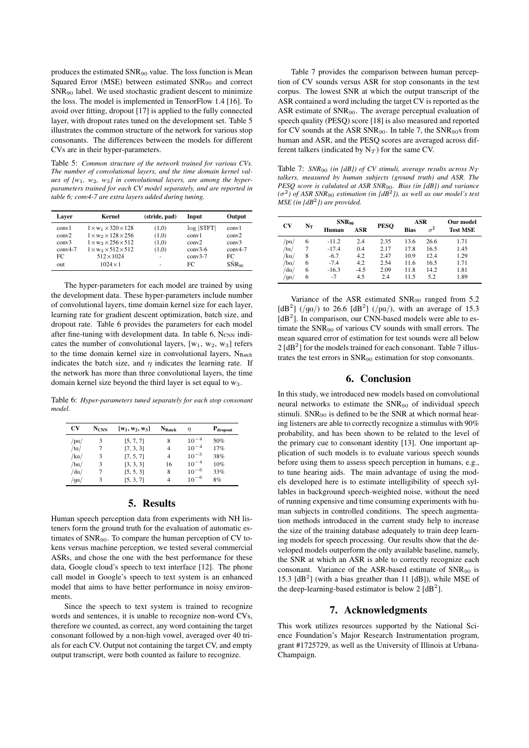produces the estimated SNR<sub>90</sub> value. The loss function is Mean Squared Error (MSE) between estimated SNR<sub>90</sub> and correct SNR<sup>90</sup> label. We used stochastic gradient descent to minimize the loss. The model is implemented in TensorFlow 1.4 [16]. To avoid over fitting, dropout [17] is applied to the fully connected layer, with dropout rates tuned on the development set. Table 5 illustrates the common structure of the network for various stop consonants. The differences between the models for different CVs are in their hyper-parameters.

Table 5: *Common structure of the network trained for various CVs. The number of convolutional layers, and the time domain kernel values of [w*1*, w*2*, w*3*] in convolutional layers, are among the hyperparameters trained for each CV model separately, and are reported in table 6; conv4-7 are extra layers added during tuning.*

| Laver     | Kernel                               | (stride, pad) | Input     | Output                              |
|-----------|--------------------------------------|---------------|-----------|-------------------------------------|
| conv1     | $1 \times w_1 \times 320 \times 128$ | (1,0)         | log  STFT | conv1                               |
| conv2     | $1 \times w_2 \times 128 \times 256$ | (1,0)         | conv1     | conv2                               |
| conv3     | $1 \times w_3 \times 256 \times 512$ | (1,0)         | conv2     | conv3                               |
| $conv4-7$ | $1 \times w_3 \times 512 \times 512$ | (1,0)         | $conv3-6$ | $conv4-7$                           |
| FC.       | $512 \times 1024$                    | ٠             | $conv3-7$ | FC.                                 |
| out       | $1024 \times 1$                      | ۰             | FC        | $S\hat{\mathrm{N}}$ R <sub>90</sub> |

The hyper-parameters for each model are trained by using the development data. These hyper-parameters include number of convolutional layers, time domain kernel size for each layer, learning rate for gradient descent optimization, batch size, and dropout rate. Table 6 provides the parameters for each model after fine-tuning with development data. In table  $6$ ,  $N_{CNN}$  indicates the number of convolutional layers,  $[w_1, w_2, w_3]$  refers to the time domain kernel size in convolutional layers,  $N_{\text{Batch}}$ indicates the batch size, and  $\eta$  indicates the learning rate. If the network has more than three convolutional layers, the time domain kernel size beyond the third layer is set equal to  $w_3$ .

Table 6: *Hyper-parameters tuned separately for each stop consonant model.*

| CV          | <b>NCNN</b> | $[w_1, w_2, w_3]$ | <b>N</b> Batch | $\eta$    | $P_{\text{dropout}}$ |
|-------------|-------------|-------------------|----------------|-----------|----------------------|
| /pa/        |             | [5, 7, 7]         | 8              | $10^{-4}$ | 50%                  |
| /ta/        |             | [7, 3, 3]         | 4              | $10^{-4}$ | 17%                  |
| /ka/        |             | [7, 5, 7]         | 4              | $10^{-5}$ | 38%                  |
| /ba/        |             | [3, 3, 3]         | 16             | $10^{-4}$ | 10%                  |
| $d\alpha /$ |             | [5, 5, 3]         | 8              | $10^{-6}$ | 33%                  |
| $\sqrt{qa}$ |             | [5, 3, 7]         | 4              | $10^{-6}$ | 8%                   |

### 5. Results

Human speech perception data from experiments with NH listeners form the ground truth for the evaluation of automatic estimates of SNR90. To compare the human perception of CV tokens versus machine perception, we tested several commercial ASRs, and chose the one with the best performance for these data, Google cloud's speech to text interface [12]. The phone call model in Google's speech to text system is an enhanced model that aims to have better performance in noisy environments.

Since the speech to text system is trained to recognize words and sentences, it is unable to recognize non-word CVs, therefore we counted, as correct, any word containing the target consonant followed by a non-high vowel, averaged over 40 trials for each CV. Output not containing the target CV, and empty output transcript, were both counted as failure to recognize.

Table 7 provides the comparison between human perception of CV sounds versus ASR for stop consonants in the test corpus. The lowest SNR at which the output transcript of the ASR contained a word including the target CV is reported as the ASR estimate of SNR90. The average perceptual evaluation of speech quality (PESQ) score [18] is also measured and reported for CV sounds at the ASR SNR<sub>90</sub>. In table 7, the SNR<sub>90</sub>s from human and ASR, and the PESQ scores are averaged across different talkers (indicated by  $N_T$ ) for the same CV.

Table 7:  $SNR_{90}$  (in [dB]) of CV stimuli, average results across  $N_T$ *talkers, measured by human subjects (ground truth) and ASR. The PESQ score is calulated at ASR SNR*90*. Bias (in [dB]) and variance*  $(\sigma^2)$  of ASR SNR<sub>90</sub> estimation (in [dB<sup>2</sup>]), as well as our model's test *MSE (in [dB*<sup>2</sup> *]) are provided.*

| <b>CV</b> | $N_T$ | $SNR_{90}$ |        | <b>PESO</b> | ASR         |            | Our model       |
|-----------|-------|------------|--------|-------------|-------------|------------|-----------------|
|           |       | Human      | ASR    |             | <b>Bias</b> | $\sigma^2$ | <b>Test MSE</b> |
| 'pa       | 6     | $-11.2$    | 2.4    | 2.35        | 13.6        | 26.6       | 1.71            |
| 'ta       |       | $-17.4$    | 0.4    | 2.17        | 17.8        | 16.5       | 1.45            |
| kq        | 8     | $-6.7$     | 4.2    | 2.47        | 10.9        | 12.4       | 1.29            |
| 'ba       | 6     | $-7.4$     | 4.2    | 2.54        | 11.6        | 16.5       | 1.71            |
| $d\alpha$ | 6     | $-16.3$    | $-4.5$ | 2.09        | 11.8        | 14.2       | 1.81            |
| 'ga       | 6     | $-7$       | 4.5    | 2.4         | 11.5        | 5.2        | 1.89            |

Variance of the ASR estimated  $SNR_{90}$  ranged from 5.2 [dB<sup>2</sup>] (/ga/) to 26.6 [dB<sup>2</sup>] (/pa/), with an average of 15.3  $[dB<sup>2</sup>]$ . In comparison, our CNN-based models were able to estimate the SNR<sup>90</sup> of various CV sounds with small errors. The mean squared error of estimation for test sounds were all below  $2 [dB<sup>2</sup>]$  for the models trained for each consonant. Table 7 illustrates the test errors in SNR<sup>90</sup> estimation for stop consonants.

#### 6. Conclusion

In this study, we introduced new models based on convolutional neural networks to estimate the  $SNR_{90}$  of individual speech stimuli.  $SNR_{90}$  is defined to be the SNR at which normal hearing listeners are able to correctly recognize a stimulus with 90% probability, and has been shown to be related to the level of the primary cue to consonant identity [13]. One important application of such models is to evaluate various speech sounds before using them to assess speech perception in humans, e.g., to tune hearing aids. The main advantage of using the models developed here is to estimate intelligibility of speech syllables in background speech-weighted noise, without the need of running expensive and time consuming experiments with human subjects in controlled conditions. The speech augmentation methods introduced in the current study help to increase the size of the training database adequately to train deep learning models for speech processing. Our results show that the developed models outperform the only available baseline, namely, the SNR at which an ASR is able to correctly recognize each consonant. Variance of the ASR-based estimate of SNR<sup>90</sup> is 15.3  $[dB<sup>2</sup>]$  (with a bias greather than 11  $[dB]$ ), while MSE of the deep-learning-based estimator is below 2  $[dB<sup>2</sup>]$ .

#### 7. Acknowledgments

This work utilizes resources supported by the National Science Foundation's Major Research Instrumentation program, grant #1725729, as well as the University of Illinois at Urbana-Champaign.